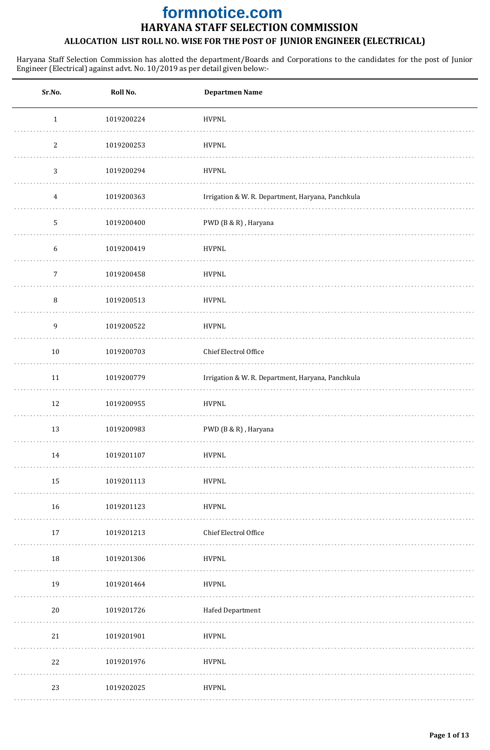# **HARYANA STAFF SELECTION COMMISSION formnotice.com**

## **ALLOCATION LIST ROLL NO. WISE FOR THE POST OF JUNIOR ENGINEER (ELECTRICAL)**

| Sr.No.           | Roll No.   | <b>Departmen Name</b>                             |
|------------------|------------|---------------------------------------------------|
| $\,1\,$          | 1019200224 | <b>HVPNL</b>                                      |
| $\mathbf{2}$     | 1019200253 | <b>HVPNL</b>                                      |
| 3                | 1019200294 | <b>HVPNL</b>                                      |
| $\overline{4}$   | 1019200363 | Irrigation & W. R. Department, Haryana, Panchkula |
| 5                | 1019200400 | PWD (B & R), Haryana                              |
| $\boldsymbol{6}$ | 1019200419 | <b>HVPNL</b>                                      |
| 7                | 1019200458 | HVPNL                                             |
| $\, 8$           | 1019200513 | <b>HVPNL</b>                                      |
| 9                | 1019200522 | <b>HVPNL</b>                                      |
| $10\,$           | 1019200703 | Chief Electrol Office                             |
| 11               | 1019200779 | Irrigation & W. R. Department, Haryana, Panchkula |
| 12               | 1019200955 | <b>HVPNL</b>                                      |
| 13               | 1019200983 | PWD (B & R), Haryana                              |
| 14               | 1019201107 | <b>HVPNL</b>                                      |
| 15               | 1019201113 | <b>HVPNL</b>                                      |
| 16               | 1019201123 | <b>HVPNL</b>                                      |
| 17               | 1019201213 | Chief Electrol Office                             |
| 18               | 1019201306 | <b>HVPNL</b>                                      |
| 19               | 1019201464 | <b>HVPNL</b>                                      |
| 20               | 1019201726 | Hafed Department                                  |
| 21               | 1019201901 | <b>HVPNL</b>                                      |
| 22               | 1019201976 | <b>HVPNL</b>                                      |
| 23               | 1019202025 | <b>HVPNL</b>                                      |
|                  |            |                                                   |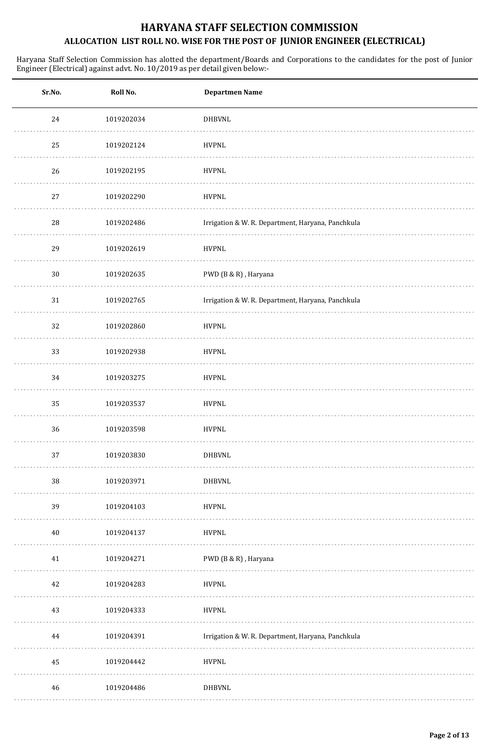| Sr.No. | Roll No.   | <b>Departmen Name</b>                             |
|--------|------------|---------------------------------------------------|
| 24     | 1019202034 | DHBVNL                                            |
| 25     | 1019202124 | <b>HVPNL</b>                                      |
| 26     | 1019202195 | <b>HVPNL</b>                                      |
| $27\,$ | 1019202290 | <b>HVPNL</b>                                      |
| 28     | 1019202486 | Irrigation & W. R. Department, Haryana, Panchkula |
| 29     | 1019202619 | <b>HVPNL</b>                                      |
| $30\,$ | 1019202635 | PWD (B & R), Haryana                              |
| 31     | 1019202765 | Irrigation & W. R. Department, Haryana, Panchkula |
| 32     | 1019202860 | <b>HVPNL</b>                                      |
| 33     | 1019202938 | <b>HVPNL</b>                                      |
| 34     | 1019203275 | <b>HVPNL</b>                                      |
| 35     | 1019203537 | <b>HVPNL</b>                                      |
| 36     | 1019203598 | <b>HVPNL</b>                                      |
| 37     | 1019203830 | <b>DHBVNL</b>                                     |
| $38\,$ | 1019203971 | <b>DHBVNL</b>                                     |
| 39     | 1019204103 | <b>HVPNL</b>                                      |
| 40     | 1019204137 | <b>HVPNL</b>                                      |
| 41     | 1019204271 | PWD (B & R), Haryana                              |
| 42     | 1019204283 | <b>HVPNL</b>                                      |
| 43     | 1019204333 | <b>HVPNL</b>                                      |
| 44     | 1019204391 | Irrigation & W. R. Department, Haryana, Panchkula |
| 45     | 1019204442 | <b>HVPNL</b>                                      |
| 46     | 1019204486 | <b>DHBVNL</b>                                     |
|        |            |                                                   |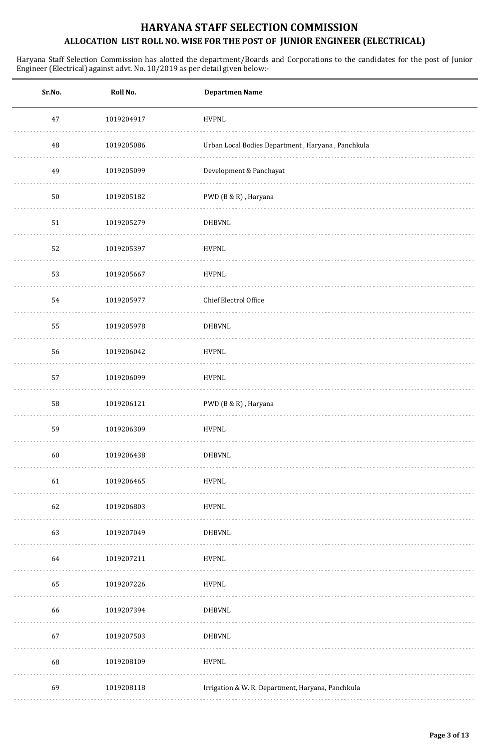| Sr.No. | Roll No.   | <b>Departmen Name</b>                             |
|--------|------------|---------------------------------------------------|
| $47\,$ | 1019204917 | <b>HVPNL</b>                                      |
| 48     | 1019205086 | Urban Local Bodies Department, Haryana, Panchkula |
| 49     | 1019205099 | Development & Panchayat                           |
| $50\,$ | 1019205182 | PWD (B & R), Haryana                              |
| 51     | 1019205279 | DHBVNL                                            |
| 52     | 1019205397 | <b>HVPNL</b>                                      |
| 53     | 1019205667 | <b>HVPNL</b>                                      |
| 54     | 1019205977 | Chief Electrol Office                             |
| 55     | 1019205978 | <b>DHBVNL</b>                                     |
| 56     | 1019206042 | <b>HVPNL</b>                                      |
| 57     | 1019206099 | <b>HVPNL</b>                                      |
| 58     | 1019206121 | PWD (B & R), Haryana                              |
| 59     | 1019206309 | <b>HVPNL</b>                                      |
| 60     | 1019206438 | <b>DHBVNL</b>                                     |
| 61     | 1019206465 | <b>HVPNL</b>                                      |
| 62     | 1019206803 | <b>HVPNL</b>                                      |
| 63     | 1019207049 | <b>DHBVNL</b>                                     |
| 64     | 1019207211 | <b>HVPNL</b>                                      |
| 65     | 1019207226 | <b>HVPNL</b>                                      |
| 66     | 1019207394 | <b>DHBVNL</b>                                     |
| 67     | 1019207503 | <b>DHBVNL</b>                                     |
| 68     | 1019208109 | <b>HVPNL</b>                                      |
| 69     | 1019208118 | Irrigation & W. R. Department, Haryana, Panchkula |
|        |            |                                                   |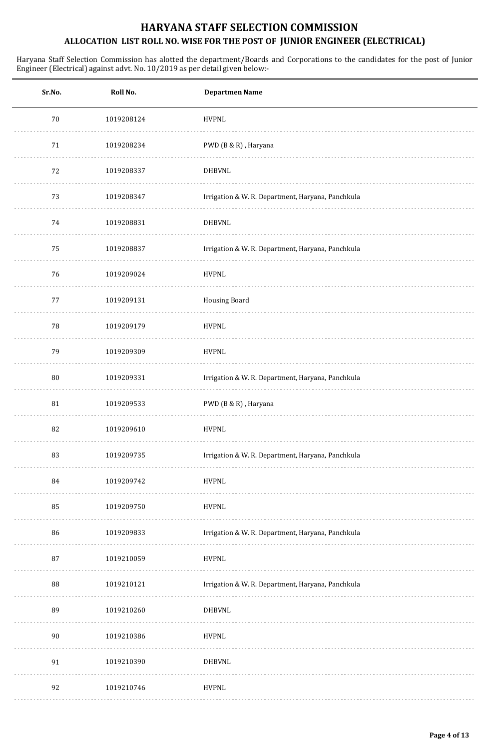| Sr.No. | Roll No.   | <b>Departmen Name</b>                             |
|--------|------------|---------------------------------------------------|
| 70     | 1019208124 | <b>HVPNL</b>                                      |
| $71\,$ | 1019208234 | PWD (B & R), Haryana                              |
| 72     | 1019208337 | <b>DHBVNL</b>                                     |
| 73     | 1019208347 | Irrigation & W. R. Department, Haryana, Panchkula |
| 74     | 1019208831 | DHBVNL                                            |
| 75     | 1019208837 | Irrigation & W. R. Department, Haryana, Panchkula |
| 76     | 1019209024 | <b>HVPNL</b>                                      |
| 77     | 1019209131 | <b>Housing Board</b>                              |
| 78     | 1019209179 | <b>HVPNL</b>                                      |
| 79     | 1019209309 | <b>HVPNL</b>                                      |
| 80     | 1019209331 | Irrigation & W. R. Department, Haryana, Panchkula |
| 81     | 1019209533 | PWD (B & R), Haryana                              |
| 82     | 1019209610 | <b>HVPNL</b>                                      |
| 83     | 1019209735 | Irrigation & W. R. Department, Haryana, Panchkula |
| 84     | 1019209742 | <b>HVPNL</b>                                      |
| 85     | 1019209750 | <b>HVPNL</b>                                      |
| 86     | 1019209833 | Irrigation & W. R. Department, Haryana, Panchkula |
| 87     | 1019210059 | <b>HVPNL</b>                                      |
| 88     | 1019210121 | Irrigation & W. R. Department, Haryana, Panchkula |
| 89     | 1019210260 | <b>DHBVNL</b>                                     |
| 90     | 1019210386 | <b>HVPNL</b>                                      |
| 91     | 1019210390 | DHBVNL                                            |
| 92     | 1019210746 | <b>HVPNL</b>                                      |
|        |            |                                                   |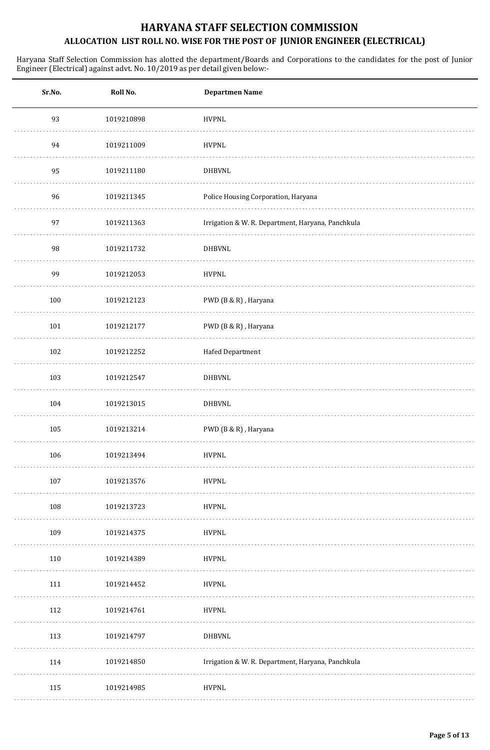| Sr.No. | Roll No.   | <b>Departmen Name</b>                             |
|--------|------------|---------------------------------------------------|
| 93     | 1019210898 | <b>HVPNL</b>                                      |
| 94     | 1019211009 | <b>HVPNL</b>                                      |
| 95     | 1019211180 | <b>DHBVNL</b>                                     |
| 96     | 1019211345 | Police Housing Corporation, Haryana               |
| 97     | 1019211363 | Irrigation & W. R. Department, Haryana, Panchkula |
| 98     | 1019211732 | <b>DHBVNL</b>                                     |
| 99     | 1019212053 | <b>HVPNL</b>                                      |
| 100    | 1019212123 | PWD (B & R), Haryana                              |
| 101    | 1019212177 | PWD (B & R), Haryana                              |
| 102    | 1019212252 | Hafed Department                                  |
| 103    | 1019212547 | DHBVNL                                            |
| 104    | 1019213015 | <b>DHBVNL</b>                                     |
| 105    | 1019213214 | PWD (B & R), Haryana                              |
| 106    | 1019213494 | <b>HVPNL</b>                                      |
| 107    | 1019213576 | <b>HVPNL</b>                                      |
| 108    | 1019213723 | <b>HVPNL</b>                                      |
| 109    | 1019214375 | <b>HVPNL</b>                                      |
| 110    | 1019214389 | <b>HVPNL</b>                                      |
| 111    | 1019214452 | <b>HVPNL</b>                                      |
| 112    | 1019214761 | <b>HVPNL</b>                                      |
| 113    | 1019214797 | <b>DHBVNL</b>                                     |
| 114    | 1019214850 | Irrigation & W. R. Department, Haryana, Panchkula |
| 115    | 1019214985 | <b>HVPNL</b>                                      |
|        |            |                                                   |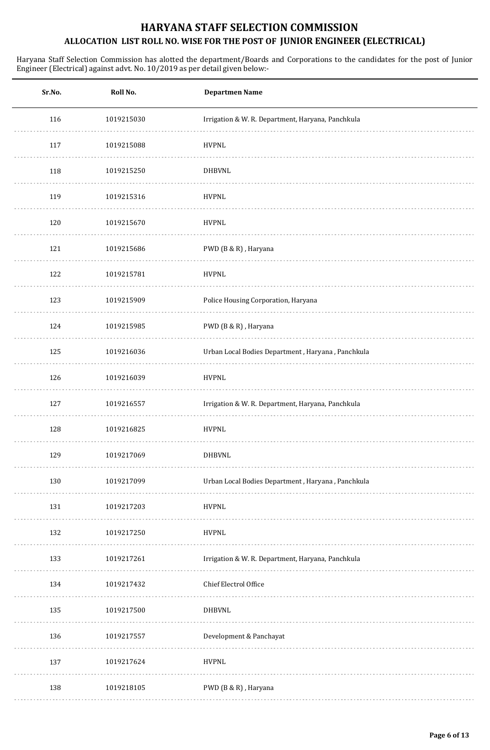| Sr.No. | Roll No.   | <b>Departmen Name</b>                             |
|--------|------------|---------------------------------------------------|
| 116    | 1019215030 | Irrigation & W. R. Department, Haryana, Panchkula |
| 117    | 1019215088 | <b>HVPNL</b>                                      |
| 118    | 1019215250 | <b>DHBVNL</b>                                     |
| 119    | 1019215316 | <b>HVPNL</b>                                      |
| 120    | 1019215670 | <b>HVPNL</b>                                      |
| 121    | 1019215686 | PWD (B & R), Haryana                              |
| 122    | 1019215781 | <b>HVPNL</b>                                      |
| 123    | 1019215909 | Police Housing Corporation, Haryana               |
| 124    | 1019215985 | PWD (B & R), Haryana                              |
| 125    | 1019216036 | Urban Local Bodies Department, Haryana, Panchkula |
| 126    | 1019216039 | <b>HVPNL</b>                                      |
| 127    | 1019216557 | Irrigation & W. R. Department, Haryana, Panchkula |
| 128    | 1019216825 | <b>HVPNL</b>                                      |
| 129    | 1019217069 | <b>DHBVNL</b>                                     |
| 130    | 1019217099 | Urban Local Bodies Department, Haryana, Panchkula |
| 131    | 1019217203 | <b>HVPNL</b>                                      |
| 132    | 1019217250 | <b>HVPNL</b>                                      |
| 133    | 1019217261 | Irrigation & W. R. Department, Haryana, Panchkula |
| 134    | 1019217432 | Chief Electrol Office                             |
| 135    | 1019217500 | <b>DHBVNL</b>                                     |
| 136    | 1019217557 | Development & Panchayat                           |
| 137    | 1019217624 | <b>HVPNL</b>                                      |
| 138    | 1019218105 | PWD (B & R), Haryana                              |
|        |            |                                                   |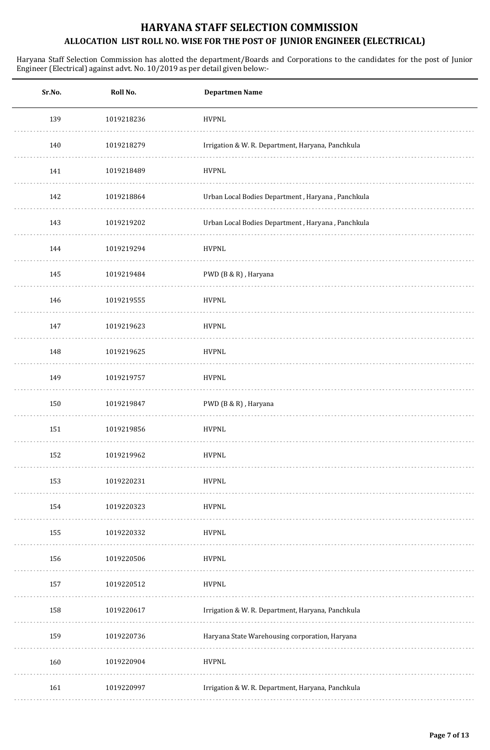| Sr.No. | Roll No.   | <b>Departmen Name</b>                             |
|--------|------------|---------------------------------------------------|
| 139    | 1019218236 | <b>HVPNL</b>                                      |
| 140    | 1019218279 | Irrigation & W. R. Department, Haryana, Panchkula |
| 141    | 1019218489 | <b>HVPNL</b>                                      |
| 142    | 1019218864 | Urban Local Bodies Department, Haryana, Panchkula |
| 143    | 1019219202 | Urban Local Bodies Department, Haryana, Panchkula |
| 144    | 1019219294 | <b>HVPNL</b>                                      |
| 145    | 1019219484 | PWD (B & R), Haryana                              |
| 146    | 1019219555 | <b>HVPNL</b>                                      |
| 147    | 1019219623 | <b>HVPNL</b>                                      |
| 148    | 1019219625 | <b>HVPNL</b>                                      |
| 149    | 1019219757 | <b>HVPNL</b>                                      |
| 150    | 1019219847 | PWD (B & R), Haryana                              |
| 151    | 1019219856 | <b>HVPNL</b>                                      |
| 152    | 1019219962 | <b>HVPNL</b>                                      |
| 153    | 1019220231 | <b>HVPNL</b>                                      |
| 154    | 1019220323 | <b>HVPNL</b>                                      |
| 155    | 1019220332 | <b>HVPNL</b>                                      |
| 156    | 1019220506 | <b>HVPNL</b>                                      |
| 157    | 1019220512 | <b>HVPNL</b>                                      |
| 158    | 1019220617 | Irrigation & W. R. Department, Haryana, Panchkula |
| 159    | 1019220736 | Haryana State Warehousing corporation, Haryana    |
| 160    | 1019220904 | <b>HVPNL</b>                                      |
| 161    | 1019220997 | Irrigation & W. R. Department, Haryana, Panchkula |
|        |            |                                                   |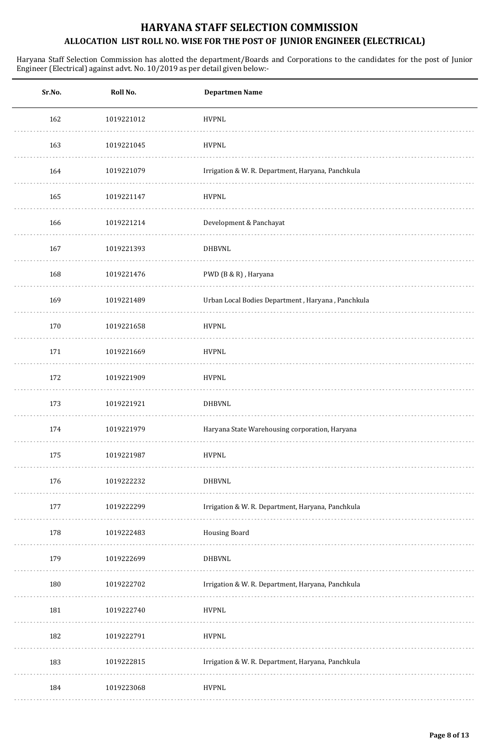| Sr.No. | Roll No.   | <b>Departmen Name</b>                             |
|--------|------------|---------------------------------------------------|
| 162    | 1019221012 | <b>HVPNL</b>                                      |
| 163    | 1019221045 | <b>HVPNL</b>                                      |
| 164    | 1019221079 | Irrigation & W. R. Department, Haryana, Panchkula |
| 165    | 1019221147 | <b>HVPNL</b>                                      |
| 166    | 1019221214 | Development & Panchayat                           |
| 167    | 1019221393 | DHBVNL                                            |
| 168    | 1019221476 | PWD (B & R), Haryana                              |
| 169    | 1019221489 | Urban Local Bodies Department, Haryana, Panchkula |
| 170    | 1019221658 | <b>HVPNL</b>                                      |
| 171    | 1019221669 | <b>HVPNL</b>                                      |
| 172    | 1019221909 | <b>HVPNL</b>                                      |
| 173    | 1019221921 | <b>DHBVNL</b>                                     |
| 174    | 1019221979 | Haryana State Warehousing corporation, Haryana    |
| 175    | 1019221987 | <b>HVPNL</b>                                      |
| 176    | 1019222232 | <b>DHBVNL</b>                                     |
| 177    | 1019222299 | Irrigation & W. R. Department, Haryana, Panchkula |
| 178    | 1019222483 | <b>Housing Board</b>                              |
| 179    | 1019222699 | <b>DHBVNL</b>                                     |
| 180    | 1019222702 | Irrigation & W. R. Department, Haryana, Panchkula |
| 181    | 1019222740 | <b>HVPNL</b>                                      |
| 182    | 1019222791 | <b>HVPNL</b>                                      |
| 183    | 1019222815 | Irrigation & W. R. Department, Haryana, Panchkula |
| 184    | 1019223068 | <b>HVPNL</b>                                      |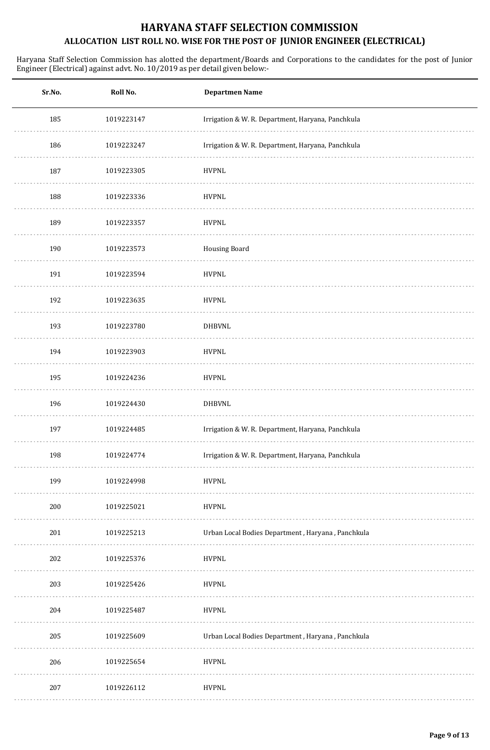| Sr.No. | Roll No.   | <b>Departmen Name</b>                             |
|--------|------------|---------------------------------------------------|
| 185    | 1019223147 | Irrigation & W. R. Department, Haryana, Panchkula |
| 186    | 1019223247 | Irrigation & W. R. Department, Haryana, Panchkula |
| 187    | 1019223305 | <b>HVPNL</b>                                      |
| 188    | 1019223336 | <b>HVPNL</b>                                      |
| 189    | 1019223357 | <b>HVPNL</b>                                      |
| 190    | 1019223573 | <b>Housing Board</b>                              |
| 191    | 1019223594 | <b>HVPNL</b>                                      |
| 192    | 1019223635 | <b>HVPNL</b>                                      |
| 193    | 1019223780 | <b>DHBVNL</b>                                     |
| 194    | 1019223903 | <b>HVPNL</b>                                      |
| 195    | 1019224236 | <b>HVPNL</b>                                      |
| 196    | 1019224430 | <b>DHBVNL</b>                                     |
| 197    | 1019224485 | Irrigation & W. R. Department, Haryana, Panchkula |
| 198    | 1019224774 | Irrigation & W. R. Department, Haryana, Panchkula |
| 199    | 1019224998 | <b>HVPNL</b>                                      |
| 200    | 1019225021 | <b>HVPNL</b>                                      |
| 201    | 1019225213 | Urban Local Bodies Department, Haryana, Panchkula |
| 202    | 1019225376 | <b>HVPNL</b>                                      |
| 203    | 1019225426 | <b>HVPNL</b>                                      |
| 204    | 1019225487 | <b>HVPNL</b>                                      |
| 205    | 1019225609 | Urban Local Bodies Department, Haryana, Panchkula |
| 206    | 1019225654 | <b>HVPNL</b>                                      |
| 207    | 1019226112 | <b>HVPNL</b>                                      |
|        |            |                                                   |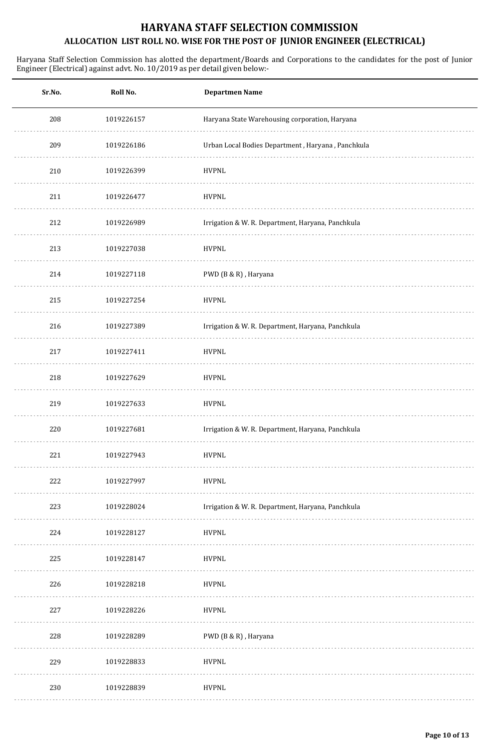| Sr.No. | Roll No.   | Departmen Name                                    |
|--------|------------|---------------------------------------------------|
| 208    | 1019226157 | Haryana State Warehousing corporation, Haryana    |
| 209    | 1019226186 | Urban Local Bodies Department, Haryana, Panchkula |
| 210    | 1019226399 | <b>HVPNL</b>                                      |
| 211    | 1019226477 | <b>HVPNL</b>                                      |
| 212    | 1019226989 | Irrigation & W. R. Department, Haryana, Panchkula |
| 213    | 1019227038 | <b>HVPNL</b>                                      |
| 214    | 1019227118 | PWD (B & R), Haryana                              |
| 215    | 1019227254 | <b>HVPNL</b>                                      |
| 216    | 1019227389 | Irrigation & W. R. Department, Haryana, Panchkula |
| 217    | 1019227411 | <b>HVPNL</b>                                      |
| 218    | 1019227629 | <b>HVPNL</b>                                      |
| 219    | 1019227633 | <b>HVPNL</b>                                      |
| 220    | 1019227681 | Irrigation & W. R. Department, Haryana, Panchkula |
| 221    | 1019227943 | <b>HVPNL</b>                                      |
| 222    | 1019227997 | <b>HVPNL</b>                                      |
| 223    | 1019228024 | Irrigation & W. R. Department, Haryana, Panchkula |
| 224    | 1019228127 | <b>HVPNL</b>                                      |
| 225    | 1019228147 | <b>HVPNL</b>                                      |
| 226    | 1019228218 | <b>HVPNL</b>                                      |
| 227    | 1019228226 | <b>HVPNL</b>                                      |
| 228    | 1019228289 | PWD (B & R), Haryana                              |
| 229    | 1019228833 | <b>HVPNL</b>                                      |
| 230    | 1019228839 | <b>HVPNL</b>                                      |
|        |            |                                                   |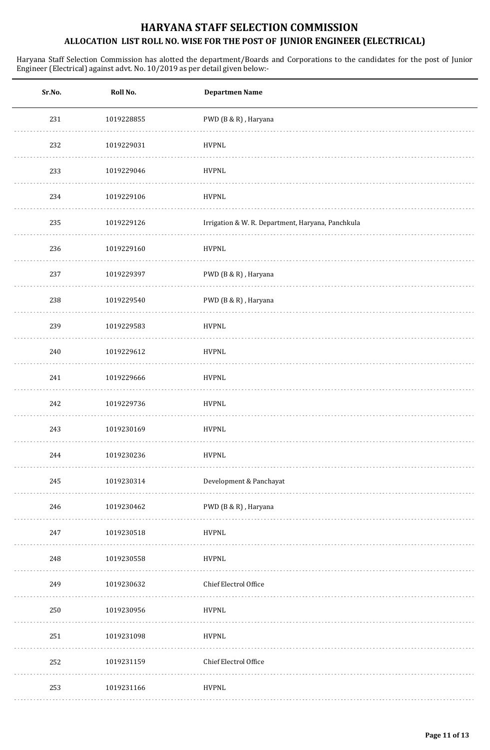| Sr.No. | Roll No.   | <b>Departmen Name</b>                             |
|--------|------------|---------------------------------------------------|
| 231    | 1019228855 | PWD (B & R), Haryana                              |
| 232    | 1019229031 | <b>HVPNL</b>                                      |
| 233    | 1019229046 | <b>HVPNL</b>                                      |
| 234    | 1019229106 | <b>HVPNL</b>                                      |
| 235    | 1019229126 | Irrigation & W. R. Department, Haryana, Panchkula |
| 236    | 1019229160 | <b>HVPNL</b>                                      |
| 237    | 1019229397 | PWD (B & R), Haryana                              |
| 238    | 1019229540 | PWD (B & R), Haryana                              |
| 239    | 1019229583 | <b>HVPNL</b>                                      |
| 240    | 1019229612 | <b>HVPNL</b>                                      |
| 241    | 1019229666 | <b>HVPNL</b>                                      |
| 242    | 1019229736 | <b>HVPNL</b>                                      |
| 243    | 1019230169 | <b>HVPNL</b>                                      |
| 244    | 1019230236 | <b>HVPNL</b>                                      |
| 245    | 1019230314 | Development & Panchayat                           |
| 246    | 1019230462 | PWD (B & R), Haryana                              |
| 247    | 1019230518 | <b>HVPNL</b>                                      |
| 248    | 1019230558 | <b>HVPNL</b>                                      |
| 249    | 1019230632 | Chief Electrol Office                             |
| 250    | 1019230956 | <b>HVPNL</b>                                      |
| 251    | 1019231098 | <b>HVPNL</b>                                      |
| 252    | 1019231159 | Chief Electrol Office                             |
| 253    | 1019231166 | <b>HVPNL</b>                                      |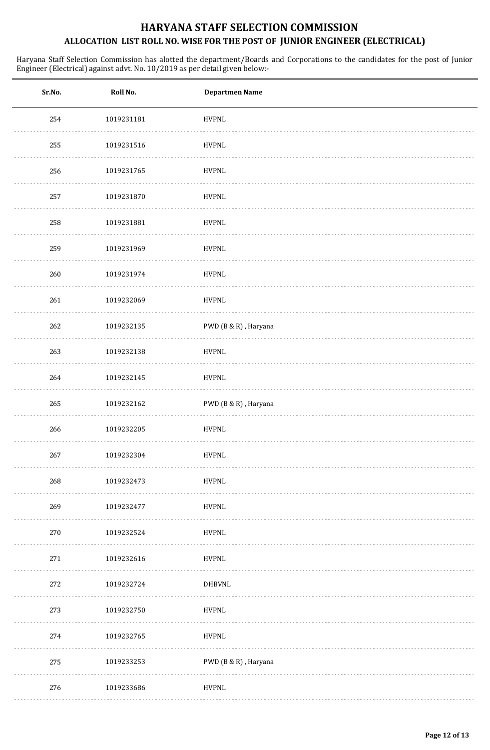| Sr.No. | Roll No.   | <b>Departmen Name</b> |
|--------|------------|-----------------------|
| 254    | 1019231181 | <b>HVPNL</b>          |
| 255    | 1019231516 | <b>HVPNL</b>          |
| 256    | 1019231765 | <b>HVPNL</b>          |
| 257    | 1019231870 | <b>HVPNL</b>          |
| 258    | 1019231881 | <b>HVPNL</b>          |
| 259    | 1019231969 | <b>HVPNL</b>          |
| 260    | 1019231974 | <b>HVPNL</b>          |
| 261    | 1019232069 | <b>HVPNL</b>          |
| 262    | 1019232135 | PWD (B & R), Haryana  |
| 263    | 1019232138 | <b>HVPNL</b>          |
| 264    | 1019232145 | <b>HVPNL</b>          |
| 265    | 1019232162 | PWD (B & R), Haryana  |
| 266    | 1019232205 | <b>HVPNL</b>          |
| 267    | 1019232304 | <b>HVPNL</b>          |
| 268    | 1019232473 | <b>HVPNL</b>          |
| 269    | 1019232477 | <b>HVPNL</b>          |
| 270    | 1019232524 | <b>HVPNL</b>          |
| 271    | 1019232616 | <b>HVPNL</b>          |
| 272    | 1019232724 | <b>DHBVNL</b>         |
| 273    | 1019232750 | <b>HVPNL</b>          |
| 274    | 1019232765 | <b>HVPNL</b>          |
| 275    | 1019233253 | PWD (B & R), Haryana  |
| 276    | 1019233686 | <b>HVPNL</b>          |
|        |            |                       |